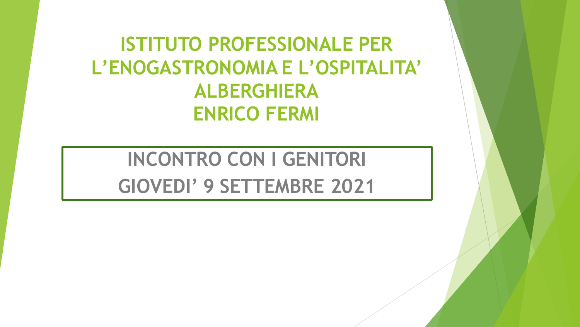**ISTITUTO PROFESSIONALE PER** L'ENOGASTRONOMIA E L'OSPITALITA' **ALBERGHIERA ENRICO FERMI** 

**INCONTRO CON I GENITORI** GIOVEDI' 9 SETTEMBRE 2021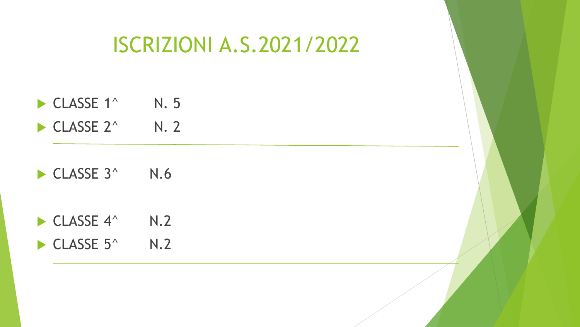# ISCRIZIONI A.S.2021/2022

- $\blacktriangleright$  CLASSE 1^ N. 5
- $\blacktriangleright$  CLASSE 2^ N. 2
- $\blacktriangleright$  CLASSE 3^ N.6
- $\blacktriangleright$  CLASSE 4^ N.2  $\blacktriangleright$  CLASSE 5^ N.2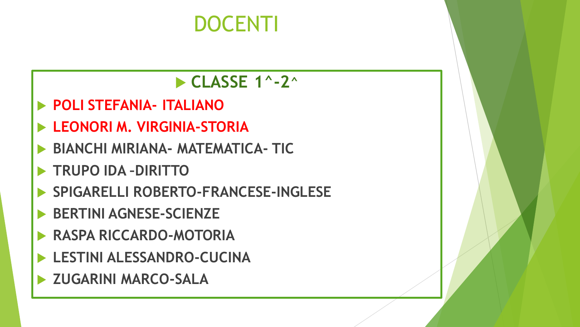# **DOCENTI**

 $\blacktriangleright$  CLASSE 1^-2^

- **POLI STEFANIA- ITALIANO**
- **LEONORI M. VIRGINIA-STORIA**
- **BIANCHI MIRIANA- MATEMATICA- TIC**
- **TRUPO IDA DIRITTO**
- SPIGARELLI ROBERTO-FRANCESE-INGLESE
- **BERTINI AGNESE-SCIENZE**
- **RASPA RICCARDO-MOTORIA**
- **LESTINI ALESSANDRO-CUCINA**
- > ZUGARINI MARCO-SALA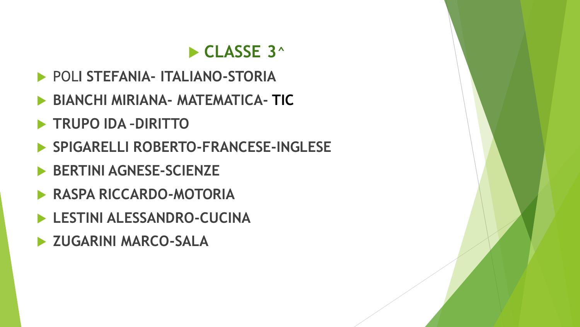### CLASSE 3<sup>^</sup>

- POLI STEFANIA- ITALIANO-STORIA
- **BIANCHI MIRIANA- MATEMATICA- TIC**
- TRUPO IDA-DIRITTO
- SPIGARELLI ROBERTO-FRANCESE-INGLESE
- BERTINI AGNESE-SCIENZE
- **RASPA RICCARDO-MOTORIA**
- LESTINI ALESSANDRO-CUCINA
- > ZUGARINI MARCO-SALA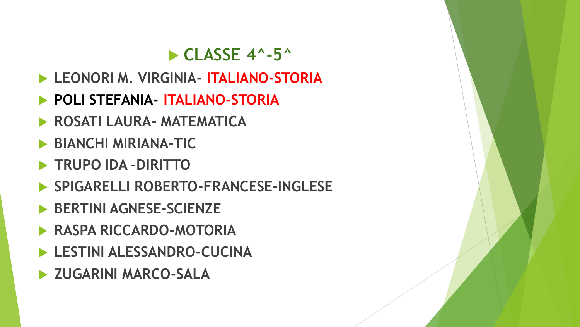### $\triangleright$  CLASSE 4^-5^

- LEONORIM. VIRGINIA- ITALIANO-STORIA
- POLI STEFANIA- ITALIANO-STORIA
- ROSATI LAURA- MATEMATICA
- **BIANCHI MIRIANA-TIC**
- TRUPO IDA DIRITTO
- SPIGARELLI ROBERTO-FRANCESE-INGLESE
- BERTINI AGNESE-SCIENZE
- **RASPA RICCARDO-MOTORIA**
- LESTINI ALESSANDRO-CUCINA
- > ZUGARINI MARCO-SALA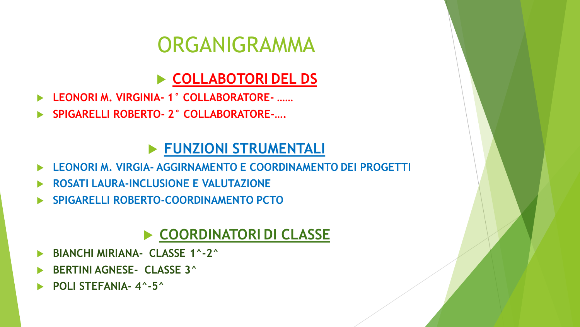# ORGANIGRAMMA

### **COLLABOTORI DEL DS**

- **LEONORI M. VIRGINIA- 1° COLLABORATORE- ……**
- **SPIGARELLI ROBERTO- 2° COLLABORATORE-….**

#### **FUNZIONI STRUMENTALI**

- **LEONORI M. VIRGIA- AGGIRNAMENTO E COORDINAMENTO DEI PROGETTI**
- **ROSATI LAURA-INCLUSIONE E VALUTAZIONE**
- **SPIGARELLI ROBERTO-COORDINAMENTO PCTO**

#### **COORDINATORI DI CLASSE**

- **BIANCHI MIRIANA- CLASSE 1^-2^**
- **BERTINI AGNESE- CLASSE 3^**
- **POLI STEFANIA- 4^-5^**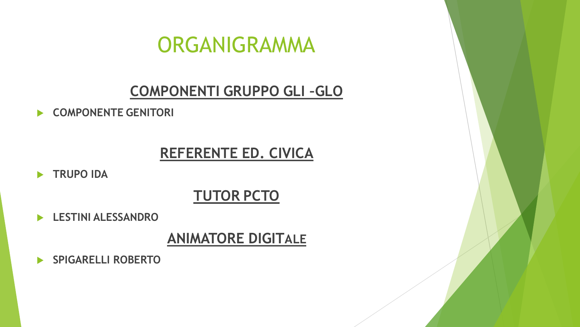## ORGANIGRAMMA

#### COMPONENTI GRUPPO GLI-GLO

COMPONENTE GENITORI

#### **REFERENTE ED. CIVICA**

TRUPO IDA

### **TUTOR PCTO**

ESTINI ALESSANDRO

#### **ANIMATORE DIGITALE**

SPIGARELLI ROBERTO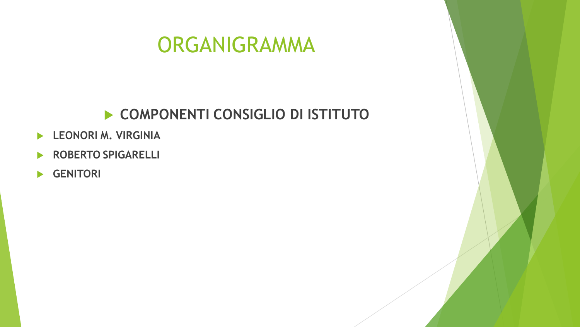# ORGANIGRAMMA

#### **COMPONENTI CONSIGLIO DI ISTITUTO**

- **LEONORI M. VIRGINIA**
- **ROBERTO SPIGARELLI**
- **GENITORI**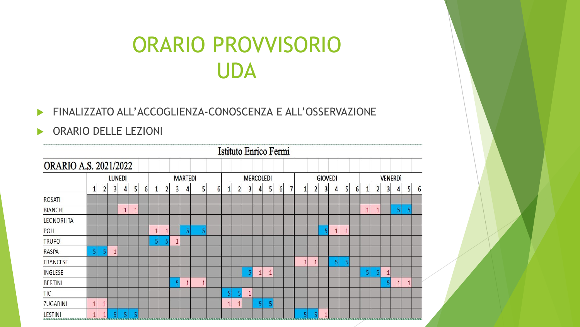# **ORARIO PROVVISORIO UDA**

#### FINALIZZATO ALL'ACCOGLIENZA-CONOSCENZA E ALL'OSSERVAZIONE

#### ▶ ORARIO DELLE LEZIONI

|                    | Istituto Enrico Fermi        |  |   |   |                |   |              |                |              |   |   |                |   |                  |   |   |              |   |          |  |                |              |   |   |              |   |  |                |   |   |                |   |  |
|--------------------|------------------------------|--|---|---|----------------|---|--------------|----------------|--------------|---|---|----------------|---|------------------|---|---|--------------|---|----------|--|----------------|--------------|---|---|--------------|---|--|----------------|---|---|----------------|---|--|
|                    | <b>ORARIO A.S. 2021/2022</b> |  |   |   |                |   |              |                |              |   |   |                |   |                  |   |   |              |   |          |  |                |              |   |   |              |   |  |                |   |   |                |   |  |
|                    | <b>LUNEDI</b>                |  |   |   |                |   |              | <b>MARTEDI</b> |              |   |   |                |   | <b>MERCOLEDI</b> |   |   |              |   |          |  | <b>GIOVEDI</b> |              |   |   |              |   |  | <b>VENERDI</b> |   |   |                |   |  |
|                    |                              |  | 3 | 4 | 5 <sub>1</sub> | 6 | $\mathbf{1}$ | 2              | 3            | 4 |   | 5 <sub>1</sub> | 6 | 1                | 2 | 3 | 4            | 5 | $6 \mid$ |  | 1              | 2            | 3 | 4 | 5            | 6 |  | 2              | 3 | Δ | 5 <sub>1</sub> | 6 |  |
| ROSATI             |                              |  |   |   |                |   |              |                |              |   |   |                |   |                  |   |   |              |   |          |  |                |              |   |   |              |   |  |                |   |   |                |   |  |
| <b>BIANCHI</b>     |                              |  |   |   | 1              |   |              |                |              |   |   |                |   |                  |   |   |              |   |          |  |                |              |   |   |              |   |  |                |   | 5 |                |   |  |
| <b>LEONORI ITA</b> |                              |  |   |   |                |   |              |                |              |   |   |                |   |                  |   |   |              |   |          |  |                |              |   |   |              |   |  |                |   |   |                |   |  |
| POLI               |                              |  |   |   |                |   |              |                |              | 5 |   |                |   |                  |   |   |              |   |          |  |                |              |   | Í | $\mathbf{1}$ |   |  |                |   |   |                |   |  |
| <b>TRUPO</b>       |                              |  |   |   |                |   | 5            |                | $\mathbf{1}$ |   |   |                |   |                  |   |   |              |   |          |  |                |              |   |   |              |   |  |                |   |   |                |   |  |
| <b>RASPA</b>       | 5                            |  |   |   |                |   |              |                |              |   |   |                |   |                  |   |   |              |   |          |  |                |              |   |   |              |   |  |                |   |   |                |   |  |
| <b>FRANCESE</b>    |                              |  |   |   |                |   |              |                |              |   |   |                |   |                  |   |   |              |   |          |  | $\mathbf{1}$   | $\mathbf{1}$ |   | 5 |              |   |  |                |   |   |                |   |  |
| <b>INGLESE</b>     |                              |  |   |   |                |   |              |                |              |   |   |                |   |                  |   | 5 | $\mathbf{1}$ |   |          |  |                |              |   |   |              |   |  |                | 1 |   |                |   |  |
| <b>BERTINI</b>     |                              |  |   |   |                |   |              |                |              |   | 1 |                |   |                  |   |   |              |   |          |  |                |              |   |   |              |   |  |                |   |   |                |   |  |
| <b>TIC</b>         |                              |  |   |   |                |   |              |                |              |   |   |                |   | 5                |   | 1 |              |   |          |  |                |              |   |   |              |   |  |                |   |   |                |   |  |
| <b>ZUGARINI</b>    |                              |  |   |   |                |   |              |                |              |   |   |                | 1 |                  |   |   | 5            |   |          |  |                |              |   |   |              |   |  |                |   |   |                |   |  |
| <b>LESTINI</b>     |                              |  |   |   |                |   |              |                |              |   |   |                |   |                  |   |   |              |   |          |  |                |              | 1 |   |              |   |  |                |   |   |                |   |  |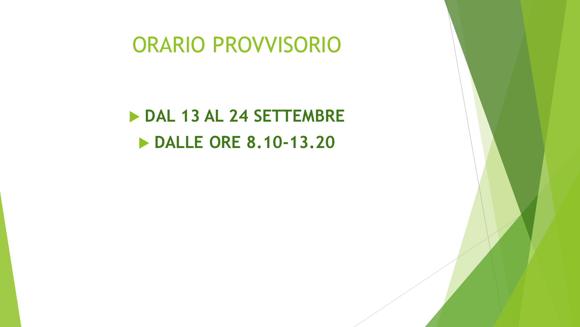## ORARIO PROVVISORIO

 **DAL 13 AL 24 SETTEMBRE DALLE ORE 8.10-13.20**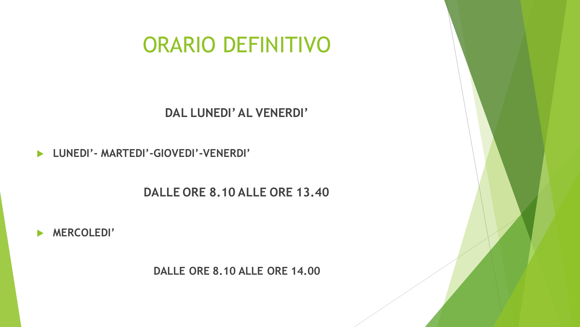**DALLE ORE 8.10 ALLE ORE 14.00**



**DALLE ORE 8.10 ALLE ORE 13.40**

**LUNEDI'- MARTEDI'-GIOVEDI'-VENERDI'** 

**DAL LUNEDI' AL VENERDI'**

# ORARIO DEFINITIVO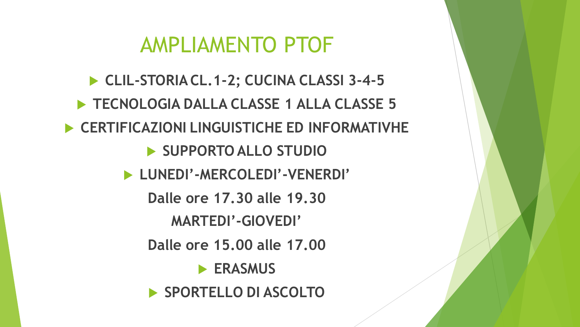# AMPLIAMENTO PTOF

 **CLIL-STORIA CL.1-2; CUCINA CLASSI 3-4-5 TECNOLOGIA DALLA CLASSE 1 ALLA CLASSE 5 CERTIFICAZIONI LINGUISTICHE ED INFORMATIVHE SUPPORTO ALLO STUDIO LUNEDI'-MERCOLEDI'-VENERDI' Dalle ore 17.30 alle 19.30 MARTEDI'-GIOVEDI' Dalle ore 15.00 alle 17.00 ERASMUS ▶ SPORTELLO DI ASCOLTO**